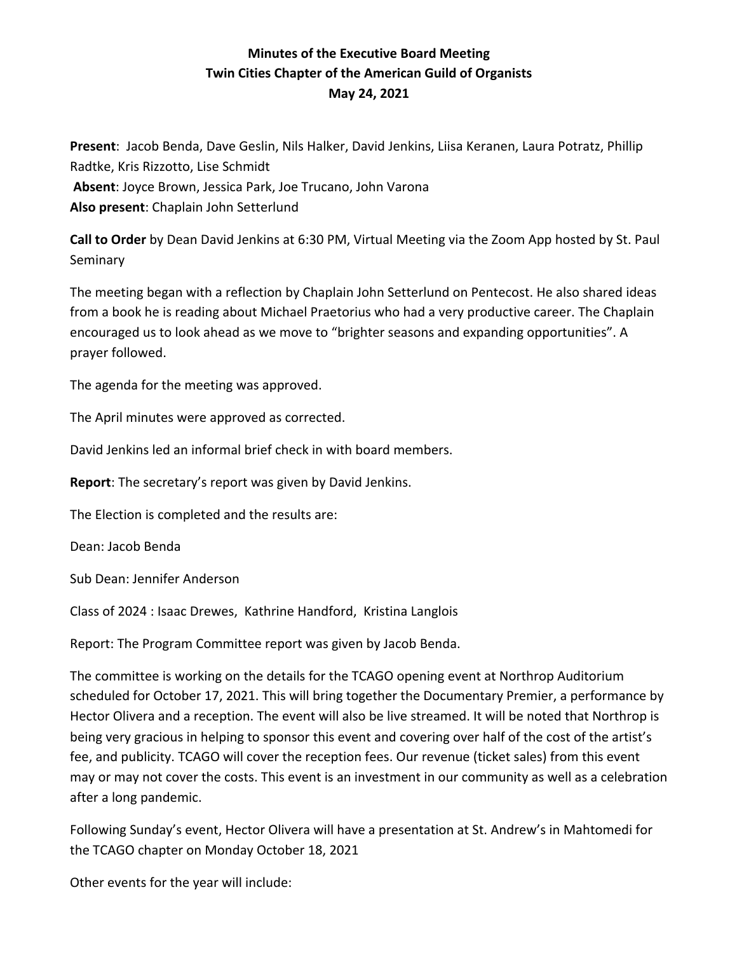## **Minutes of the Executive Board Meeting Twin Cities Chapter of the American Guild of Organists May 24, 2021**

**Present**: Jacob Benda, Dave Geslin, Nils Halker, David Jenkins, Liisa Keranen, Laura Potratz, Phillip Radtke, Kris Rizzotto, Lise Schmidt **Absent**: Joyce Brown, Jessica Park, Joe Trucano, John Varona **Also present**: Chaplain John Setterlund

**Call to Order** by Dean David Jenkins at 6:30 PM, Virtual Meeting via the Zoom App hosted by St. Paul Seminary

The meeting began with a reflection by Chaplain John Setterlund on Pentecost. He also shared ideas from a book he is reading about Michael Praetorius who had a very productive career. The Chaplain encouraged us to look ahead as we move to "brighter seasons and expanding opportunities". A prayer followed.

The agenda for the meeting was approved.

The April minutes were approved as corrected.

David Jenkins led an informal brief check in with board members.

**Report**: The secretary's report was given by David Jenkins.

The Election is completed and the results are:

Dean: Jacob Benda

Sub Dean: Jennifer Anderson

Class of 2024 : Isaac Drewes, Kathrine Handford, Kristina Langlois

Report: The Program Committee report was given by Jacob Benda.

The committee is working on the details for the TCAGO opening event at Northrop Auditorium scheduled for October 17, 2021. This will bring together the Documentary Premier, a performance by Hector Olivera and a reception. The event will also be live streamed. It will be noted that Northrop is being very gracious in helping to sponsor this event and covering over half of the cost of the artist's fee, and publicity. TCAGO will cover the reception fees. Our revenue (ticket sales) from this event may or may not cover the costs. This event is an investment in our community as well as a celebration after a long pandemic.

Following Sunday's event, Hector Olivera will have a presentation at St. Andrew's in Mahtomedi for the TCAGO chapter on Monday October 18, 2021

Other events for the year will include: